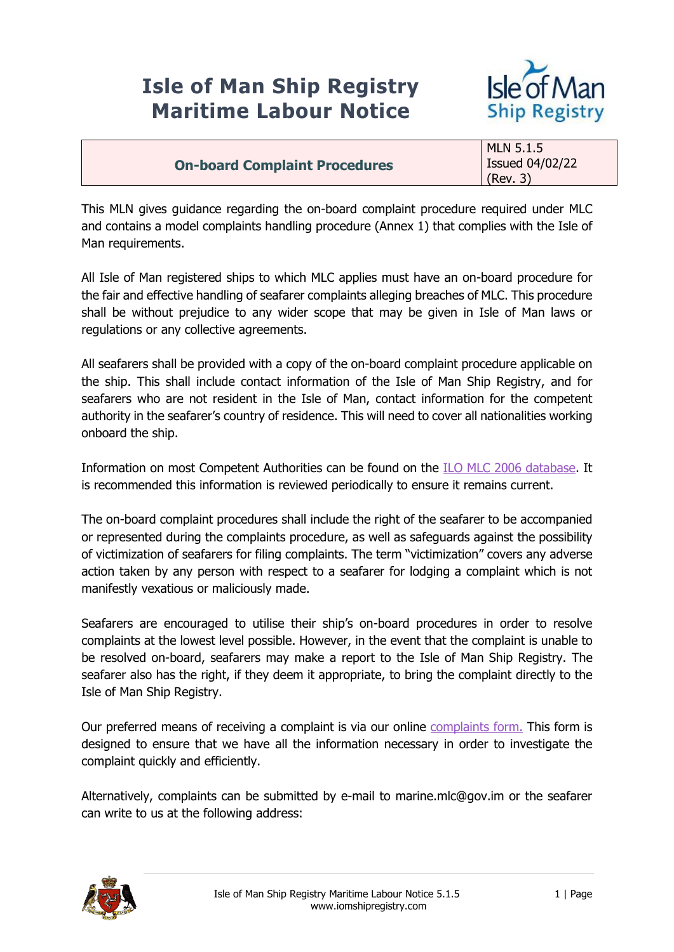## **Isle of Man Ship Registry Maritime Labour Notice**



|                                      | <b>MLN 5.1.5</b>       |
|--------------------------------------|------------------------|
| <b>On-board Complaint Procedures</b> | <b>Issued 04/02/22</b> |
|                                      | (Rev. 3)               |

This MLN gives guidance regarding the on-board complaint procedure required under MLC and contains a model complaints handling procedure (Annex 1) that complies with the Isle of Man requirements.

All Isle of Man registered ships to which MLC applies must have an on-board procedure for the fair and effective handling of seafarer complaints alleging breaches of MLC. This procedure shall be without prejudice to any wider scope that may be given in Isle of Man laws or regulations or any collective agreements.

All seafarers shall be provided with a copy of the on-board complaint procedure applicable on the ship. This shall include contact information of the Isle of Man Ship Registry, and for seafarers who are not resident in the Isle of Man, contact information for the competent authority in the seafarer's country of residence. This will need to cover all nationalities working onboard the ship.

Information on most Competent Authorities can be found on the [ILO MLC 2006 database.](https://www.ilo.org/global/standards/maritime-labour-convention/database-ratification-implementation/lang--en/index.htm) It is recommended this information is reviewed periodically to ensure it remains current.

The on-board complaint procedures shall include the right of the seafarer to be accompanied or represented during the complaints procedure, as well as safeguards against the possibility of victimization of seafarers for filing complaints. The term "victimization" covers any adverse action taken by any person with respect to a seafarer for lodging a complaint which is not manifestly vexatious or maliciously made.

Seafarers are encouraged to utilise their ship's on-board procedures in order to resolve complaints at the lowest level possible. However, in the event that the complaint is unable to be resolved on-board, seafarers may make a report to the Isle of Man Ship Registry. The seafarer also has the right, if they deem it appropriate, to bring the complaint directly to the Isle of Man Ship Registry.

Our preferred means of receiving a complaint is via our online [complaints form.](https://forms.gov.im/nobranding.aspx/RenderForm/?F.Name=M2XyuNqbdXt&HideToolbar=1) This form is designed to ensure that we have all the information necessary in order to investigate the complaint quickly and efficiently.

Alternatively, complaints can be submitted by e-mail to marine.mlc@gov.im or the seafarer can write to us at the following address:

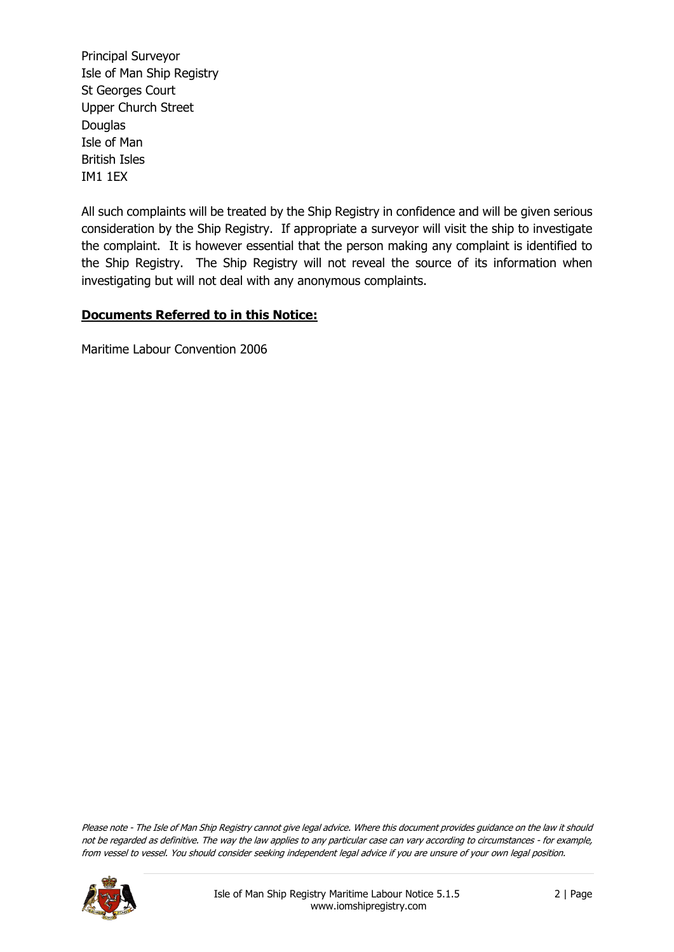Principal Surveyor Isle of Man Ship Registry St Georges Court Upper Church Street **Douglas** Isle of Man British Isles IM1 1EX

All such complaints will be treated by the Ship Registry in confidence and will be given serious consideration by the Ship Registry. If appropriate a surveyor will visit the ship to investigate the complaint. It is however essential that the person making any complaint is identified to the Ship Registry. The Ship Registry will not reveal the source of its information when investigating but will not deal with any anonymous complaints.

## **Documents Referred to in this Notice:**

Maritime Labour Convention 2006

Please note - The Isle of Man Ship Registry cannot give legal advice. Where this document provides guidance on the law it should not be regarded as definitive. The way the law applies to any particular case can vary according to circumstances - for example, from vessel to vessel. You should consider seeking independent legal advice if you are unsure of your own legal position.